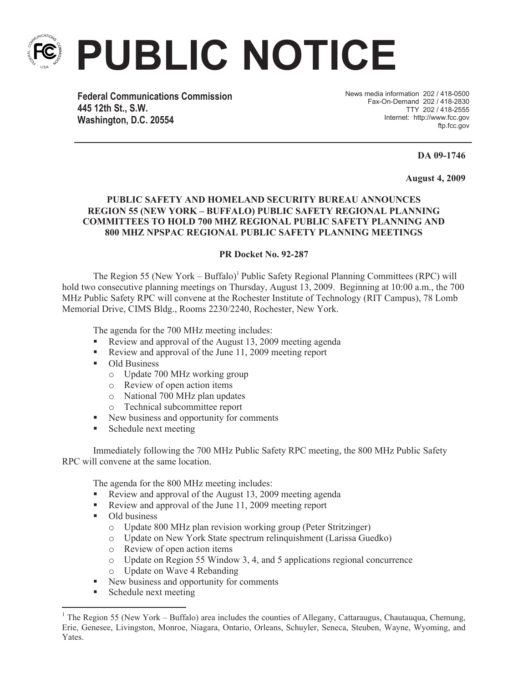

**PUBLIC NOTICE**

**Federal Communications Commission 445 12th St., S.W. Washington, D.C. 20554**

News media information 202 / 418-0500 Fax-On-Demand 202 / 418-2830 TTY 202 / 418-2555 Internet: http://www.fcc.gov ftp.fcc.gov

**DA 09-1746**

**August 4, 2009**

## **PUBLIC SAFETY AND HOMELAND SECURITY BUREAU ANNOUNCES REGION 55 (NEW YORK – BUFFALO) PUBLIC SAFETY REGIONAL PLANNING COMMITTEES TO HOLD 700 MHZ REGIONAL PUBLIC SAFETY PLANNING AND 800 MHZ NPSPAC REGIONAL PUBLIC SAFETY PLANNING MEETINGS**

## **PR Docket No. 92-287**

The Region 55 (New York – Buffalo)<sup>1</sup> Public Safety Regional Planning Committees (RPC) will hold two consecutive planning meetings on Thursday, August 13, 2009. Beginning at 10:00 a.m., the 700 MHz Public Safety RPC will convene at the Rochester Institute of Technology (RIT Campus), 78 Lomb Memorial Drive, CIMS Bldg., Rooms 2230/2240, Rochester, New York.

The agenda for the 700 MHz meeting includes:

- Review and approval of the August 13, 2009 meeting agenda
- Review and approval of the June 11, 2009 meeting report
- Old Business
	- o Update 700 MHz working group
	- o Review of open action items
	- o National 700 MHz plan updates
	- o Technical subcommittee report
- New business and opportunity for comments
- Schedule next meeting

Immediately following the 700 MHz Public Safety RPC meeting, the 800 MHz Public Safety RPC will convene at the same location.

The agenda for the 800 MHz meeting includes:

- Review and approval of the August 13, 2009 meeting agenda
- Review and approval of the June 11, 2009 meeting report
- Old business
	- o Update 800 MHz plan revision working group (Peter Stritzinger)
	- o Update on New York State spectrum relinquishment (Larissa Guedko)
	- o Review of open action items
	- o Update on Region 55 Window 3, 4, and 5 applications regional concurrence
	- o Update on Wave 4 Rebanding
- New business and opportunity for comments
- Schedule next meeting

<sup>&</sup>lt;sup>1</sup> The Region 55 (New York – Buffalo) area includes the counties of Allegany, Cattaraugus, Chautaugua, Chemung, Erie, Genesee, Livingston, Monroe, Niagara, Ontario, Orleans, Schuyler, Seneca, Steuben, Wayne, Wyoming, and Yates.